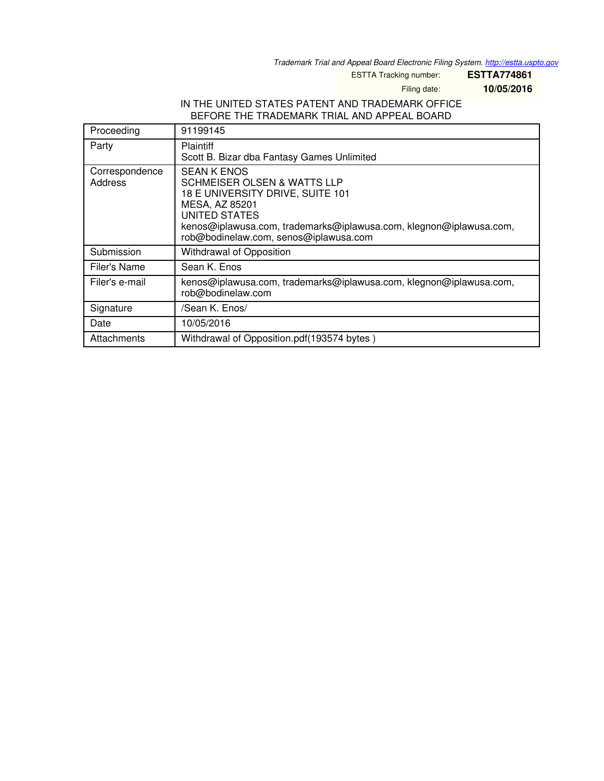*Trademark Trial and Appeal Board Electronic Filing System. <http://estta.uspto.gov>*

ESTTA Tracking number: **ESTTA774861**

Filing date: **10/05/2016**

#### IN THE UNITED STATES PATENT AND TRADEMARK OFFICE BEFORE THE TRADEMARK TRIAL AND APPEAL BOARD

| Proceeding                | 91199145                                                                                                                                                                                                                                                  |
|---------------------------|-----------------------------------------------------------------------------------------------------------------------------------------------------------------------------------------------------------------------------------------------------------|
| Party                     | <b>Plaintiff</b><br>Scott B. Bizar dba Fantasy Games Unlimited                                                                                                                                                                                            |
| Correspondence<br>Address | <b>SEAN K ENOS</b><br><b>SCHMEISER OLSEN &amp; WATTS LLP</b><br>18 E UNIVERSITY DRIVE, SUITE 101<br>MESA, AZ 85201<br><b>UNITED STATES</b><br>kenos@iplawusa.com, trademarks@iplawusa.com, klegnon@iplawusa.com,<br>rob@bodinelaw.com, senos@iplawusa.com |
| Submission                | Withdrawal of Opposition                                                                                                                                                                                                                                  |
| Filer's Name              | Sean K. Enos                                                                                                                                                                                                                                              |
| Filer's e-mail            | kenos@iplawusa.com, trademarks@iplawusa.com, klegnon@iplawusa.com,<br>rob@bodinelaw.com                                                                                                                                                                   |
| Signature                 | /Sean K. Enos/                                                                                                                                                                                                                                            |
| Date                      | 10/05/2016                                                                                                                                                                                                                                                |
| Attachments               | Withdrawal of Opposition.pdf(193574 bytes)                                                                                                                                                                                                                |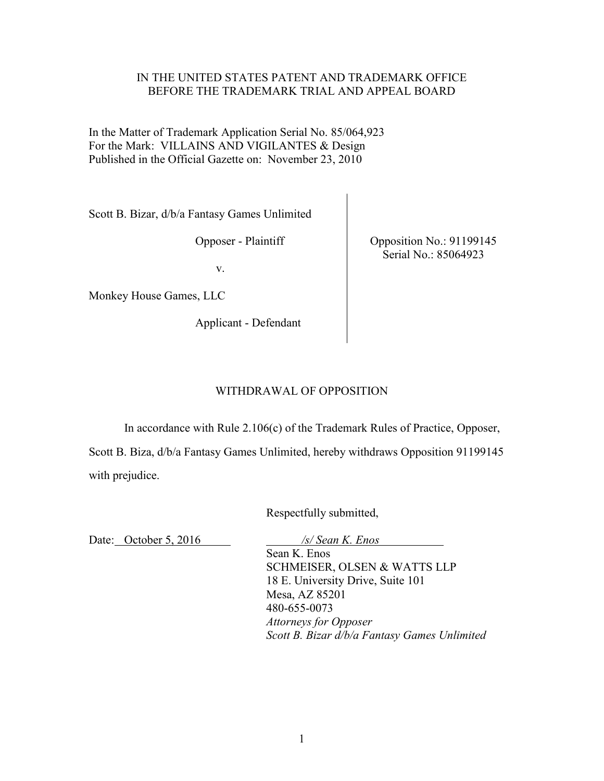## IN THE UNITED STATES PATENT AND TRADEMARK OFFICE BEFORE THE TRADEMARK TRIAL AND APPEAL BOARD

In the Matter of Trademark Application Serial No. 85/064,923 For the Mark: VILLAINS AND VIGILANTES & Design Published in the Official Gazette on: November 23, 2010

Scott B. Bizar, d/b/a Fantasy Games Unlimited

Opposer - Plaintiff

v.

Monkey House Games, LLC

Applicant - Defendant

Opposition No.: 91199145 Serial No.: 85064923

# WITHDRAWAL OF OPPOSITION

In accordance with Rule 2.106(c) of the Trademark Rules of Practice, Opposer,

Scott B. Biza, d/b/a Fantasy Games Unlimited, hereby withdraws Opposition 91199145 with prejudice.

Respectfully submitted,

Date: October 5, 2016 */s/ Sean K. Enos* 

 Sean K. Enos SCHMEISER, OLSEN & WATTS LLP 18 E. University Drive, Suite 101 Mesa, AZ 85201 480-655-0073  *Attorneys for Opposer Scott B. Bizar d/b/a Fantasy Games Unlimited*